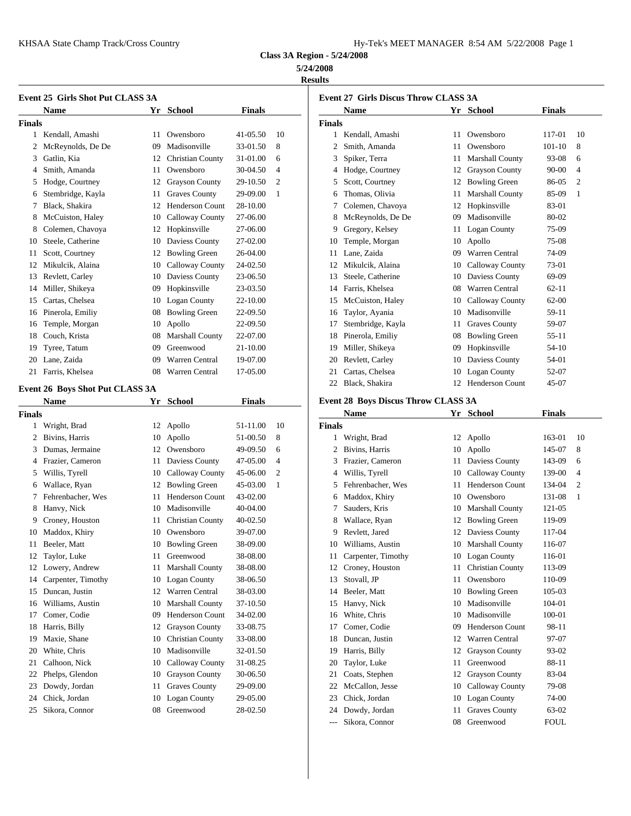| Iy-Tek's MEET MANAGER  8:54 AM  5/22/2008  Page 1 |  |  |  |
|---------------------------------------------------|--|--|--|
|---------------------------------------------------|--|--|--|

**Class 3A Region - 5/24/2008**

## **5/24/2008**

**Results**

|               | <b>Event 25 Girls Shot Put CLASS 3A</b> |    |                         |               |    | Event 27 G    |         |
|---------------|-----------------------------------------|----|-------------------------|---------------|----|---------------|---------|
|               | <b>Name</b>                             | Yr | School                  | <b>Finals</b> |    |               | Nam     |
| <b>Finals</b> |                                         |    |                         |               |    | <b>Finals</b> |         |
|               | 1 Kendall, Amashi                       | 11 | Owensboro               | 41-05.50      | 10 |               | 1 Kenda |
| 2             | McReynolds, De De                       | 09 | Madisonville            | 33-01.50      | 8  | 2             | Smith   |
| 3             | Gatlin, Kia                             |    | 12 Christian County     | 31-01.00      | 6  | 3             | Spike   |
| 4             | Smith, Amanda                           | 11 | Owensboro               | 30-04.50      | 4  | 4             | Hodg    |
| 5             | Hodge, Courtney                         | 12 | <b>Grayson County</b>   | 29-10.50      | 2  | 5             | Scott,  |
| 6             | Stembridge, Kayla                       | 11 | <b>Graves County</b>    | 29-09.00      | 1  | 6             | Thom    |
| 7             | Black, Shakira                          |    | 12 Henderson Count      | 28-10.00      |    | 7             | Colen   |
| 8             | McCuiston, Haley                        | 10 | Calloway County         | 27-06.00      |    | 8             | McRe    |
| 8             | Colemen, Chavoya                        | 12 | Hopkinsville            | 27-06.00      |    | 9             | Grego   |
| 10            | Steele, Catherine                       |    | 10 Daviess County       | 27-02.00      |    | 10            | Temp    |
| 11            | Scott, Courtney                         |    | 12 Bowling Green        | 26-04.00      |    | 11            | Lane,   |
| 12            | Mikulcik, Alaina                        |    | 10 Calloway County      | 24-02.50      |    | 12            | Mikul   |
|               | 13 Revlett, Carley                      |    | 10 Daviess County       | 23-06.50      |    | 13            | Steele  |
| 14            | Miller, Shikeya                         |    | 09 Hopkinsville         | 23-03.50      |    | 14            | Farris  |
| 15            | Cartas, Chelsea                         | 10 | <b>Logan County</b>     | 22-10.00      |    | 15            | McCu    |
|               | 16 Pinerola, Emiliy                     |    | 08 Bowling Green        | 22-09.50      |    | 16            | Taylo   |
| 16            | Temple, Morgan                          | 10 | Apollo                  | 22-09.50      |    | 17            | Stemb   |
| 18            | Couch, Krista                           | 08 | <b>Marshall County</b>  | 22-07.00      |    | 18            | Pinero  |
| 19            | Tyree, Tatum                            |    | 09 Greenwood            | 21-10.00      |    | 19            | Miller  |
| 20            | Lane, Zaida                             | 09 | Warren Central          | 19-07.00      |    | 20            | Revle   |
| 21            | Farris, Khelsea                         | 08 | Warren Central          | 17-05.00      |    | 21            | Carta:  |
|               |                                         |    |                         |               |    | 22            | Black   |
|               | Event 26 Boys Shot Put CLASS 3A         |    |                         |               |    |               |         |
|               | Name                                    | Yr | School                  | <b>Finals</b> |    | Event 28 B    |         |
| <b>Finals</b> |                                         |    |                         |               |    |               | Nam     |
|               | 1 Wright, Brad                          |    | 12 Apollo               | 51-11.00      | 10 | <b>Finals</b> |         |
| 2             | Bivins, Harris                          | 10 | Apollo                  | 51-00.50      | 8  | 1             | Wrigh   |
|               | 3 Dumas, Jermaine                       |    | 12 Owensboro            | 49-09.50      | 6  | 2             | Bivin   |
| 4             | Frazier, Cameron                        | 11 | Daviess County          | 47-05.00      | 4  | 3             | Frazie  |
| 5             | Willis, Tyrell                          | 10 | <b>Calloway County</b>  | 45-06.00      | 2  | 4             | Willis  |
| 6             | Wallace, Ryan                           |    | 12 Bowling Green        | 45-03.00      | 1  | 5             | Fehre   |
| 7             | Fehrenbacher, Wes                       | 11 | <b>Henderson Count</b>  | 43-02.00      |    | 6             | Madd    |
| 8             | Hanvy, Nick                             | 10 | Madisonville            | 40-04.00      |    | 7             | Saude   |
| 9             | Croney, Houston                         | 11 | <b>Christian County</b> | 40-02.50      |    | 8             | Walla   |
| 10            | Maddox, Khiry                           | 10 | Owensboro               | 39-07.00      |    | 9             | Revle   |
| 11            | Beeler, Matt                            | 10 | <b>Bowling Green</b>    | 38-09.00      |    | 10            | Willia  |
| 12            | Taylor, Luke                            | 11 | Greenwood               | 38-08.00      |    | 11            | Carpe   |
| 12            | Lowery, Andrew                          | 11 | Marshall County         | 38-08.00      |    | 12            | Crone   |
| 14            | Carpenter, Timothy                      | 10 | <b>Logan County</b>     | 38-06.50      |    | 13            | Stova   |
| 15            | Duncan, Justin                          | 12 | Warren Central          | 38-03.00      |    | 14            | Beele   |
| 16            | Williams, Austin                        | 10 | Marshall County         | 37-10.50      |    | 15            | Hanv    |
| 17            | Comer, Codie                            | 09 | Henderson Count         | 34-02.00      |    | 16            | White   |
| 18            | Harris, Billy                           | 12 | <b>Grayson County</b>   | 33-08.75      |    | 17            | Come    |
| 19            | Maxie, Shane                            | 10 | Christian County        | 33-08.00      |    | 18            | Dunca   |
| 20            | White, Chris                            | 10 | Madisonville            | 32-01.50      |    | 19            | Harris  |
| 21            | Calhoon, Nick                           | 10 | Calloway County         | 31-08.25      |    | 20            | Taylo   |
| 22            | Phelps, Glendon                         | 10 | <b>Grayson County</b>   | 30-06.50      |    | 21            | Coats   |
| 23            | Dowdy, Jordan                           | 11 | <b>Graves County</b>    | 29-09.00      |    | 22            | McCa    |
| 24            | Chick, Jordan                           | 10 | Logan County            | 29-05.00      |    | 23            | Chick   |
| 25            | Sikora, Connor                          | 08 | Greenwood               | 28-02.50      |    | 24            | Dowd    |

|        | <b>Event 27 Girls Discus Throw CLASS 3A</b> |    |                        |               |                |  |  |  |  |  |
|--------|---------------------------------------------|----|------------------------|---------------|----------------|--|--|--|--|--|
|        | <b>Name</b>                                 |    | Yr School              | <b>Finals</b> |                |  |  |  |  |  |
| Finals |                                             |    |                        |               |                |  |  |  |  |  |
| 1      | Kendall, Amashi                             | 11 | Owensboro              | 117-01        | 10             |  |  |  |  |  |
| 2      | Smith, Amanda                               | 11 | Owensboro              | $101 - 10$    | 8              |  |  |  |  |  |
| 3      | Spiker, Terra                               | 11 | <b>Marshall County</b> | 93-08         | 6              |  |  |  |  |  |
| 4      | Hodge, Courtney                             | 12 | <b>Grayson County</b>  | 90-00         | $\overline{4}$ |  |  |  |  |  |
| 5      | Scott, Courtney                             | 12 | <b>Bowling Green</b>   | 86-05         | $\overline{2}$ |  |  |  |  |  |
| 6      | Thomas, Olivia                              | 11 | Marshall County        | 85-09         | 1              |  |  |  |  |  |
| 7      | Colemen, Chavoya                            | 12 | Hopkinsville           | 83-01         |                |  |  |  |  |  |
| 8      | McReynolds, De De                           | 09 | Madisonville           | 80-02         |                |  |  |  |  |  |
| 9      | Gregory, Kelsey                             | 11 | Logan County           | 75-09         |                |  |  |  |  |  |
| 10     | Temple, Morgan                              | 10 | Apollo                 | 75-08         |                |  |  |  |  |  |
| 11     | Lane, Zaida                                 | 09 | Warren Central         | 74-09         |                |  |  |  |  |  |
| 12     | Mikulcik, Alaina                            | 10 | Calloway County        | 73-01         |                |  |  |  |  |  |
| 13     | Steele, Catherine                           | 10 | Daviess County         | 69-09         |                |  |  |  |  |  |
| 14     | Farris, Khelsea                             | 08 | <b>Warren Central</b>  | $62 - 11$     |                |  |  |  |  |  |
| 15     | McCuiston, Haley                            | 10 | Calloway County        | $62 - 00$     |                |  |  |  |  |  |
| 16     | Taylor, Ayania                              | 10 | Madisonville           | 59-11         |                |  |  |  |  |  |
| 17     | Stembridge, Kayla                           | 11 | <b>Graves County</b>   | 59-07         |                |  |  |  |  |  |
| 18     | Pinerola, Emiliy                            | 08 | <b>Bowling Green</b>   | $55 - 11$     |                |  |  |  |  |  |
| 19     | Miller, Shikeya                             | 09 | Hopkinsville           | 54-10         |                |  |  |  |  |  |
| 20     | Revlett, Carley                             | 10 | Daviess County         | 54-01         |                |  |  |  |  |  |
| 21     | Cartas, Chelsea                             | 10 | <b>Logan County</b>    | 52-07         |                |  |  |  |  |  |
| 22     | Black, Shakira                              | 12 | <b>Henderson Count</b> | 45-07         |                |  |  |  |  |  |
|        |                                             |    |                        |               |                |  |  |  |  |  |

# **Event 28 Boys Discus Throw CLASS 3A**

|        | <b>Name</b>        | Yr | <b>School</b>          | <b>Finals</b> |                |
|--------|--------------------|----|------------------------|---------------|----------------|
| Finals |                    |    |                        |               |                |
| 1      | Wright, Brad       | 12 | Apollo                 | 163-01        | 10             |
| 2      | Bivins, Harris     | 10 | Apollo                 | 145-07        | 8              |
| 3      | Frazier, Cameron   | 11 | Daviess County         | 143-09        | 6              |
| 4      | Willis, Tyrell     | 10 | Calloway County        | 139-00        | $\overline{4}$ |
| 5      | Fehrenbacher, Wes  | 11 | <b>Henderson Count</b> | 134-04        | $\overline{c}$ |
| 6      | Maddox, Khiry      | 10 | Owensboro              | 131-08        | 1              |
| 7      | Sauders, Kris      | 10 | <b>Marshall County</b> | 121-05        |                |
| 8      | Wallace, Ryan      | 12 | <b>Bowling Green</b>   | 119-09        |                |
| 9      | Revlett, Jared     | 12 | Daviess County         | 117-04        |                |
| 10     | Williams, Austin   | 10 | Marshall County        | 116-07        |                |
| 11     | Carpenter, Timothy | 10 | <b>Logan County</b>    | 116-01        |                |
| 12     | Croney, Houston    | 11 | Christian County       | 113-09        |                |
| 13     | Stovall, JP        | 11 | Owensboro              | 110-09        |                |
| 14     | Beeler, Matt       | 10 | <b>Bowling Green</b>   | 105-03        |                |
| 15     | Hanvy, Nick        | 10 | Madisonville           | 104-01        |                |
| 16     | White, Chris       | 10 | Madisonville           | 100-01        |                |
| 17     | Comer, Codie       | 09 | <b>Henderson Count</b> | 98-11         |                |
| 18     | Duncan, Justin     | 12 | <b>Warren Central</b>  | 97-07         |                |
| 19     | Harris, Billy      | 12 | <b>Grayson County</b>  | 93-02         |                |
| 20     | Taylor, Luke       | 11 | Greenwood              | 88-11         |                |
| 21     | Coats, Stephen     | 12 | <b>Grayson County</b>  | 83-04         |                |
| 22     | McCallon, Jesse    | 10 | Calloway County        | 79-08         |                |
| 23     | Chick, Jordan      | 10 | <b>Logan County</b>    | 74-00         |                |
| 24     | Dowdy, Jordan      | 11 | <b>Graves County</b>   | 63-02         |                |
| $---$  | Sikora, Connor     | 08 | Greenwood              | <b>FOUL</b>   |                |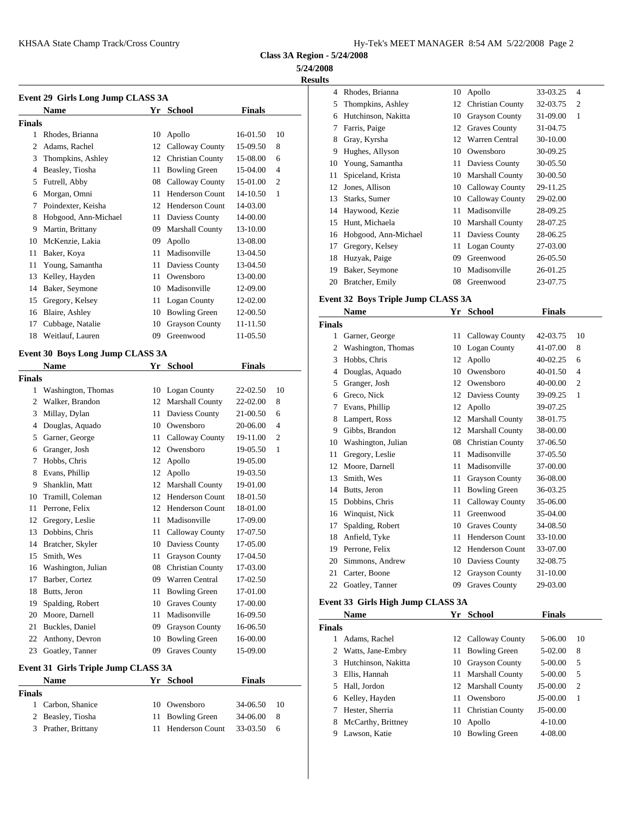**Class 3A Region - 5/24/2008**

**5/24/2008**

**Results**

| Event 29 Girls Long Jump CLASS 3A |                      | <b>Knod</b> |                         |               |                |               |               |
|-----------------------------------|----------------------|-------------|-------------------------|---------------|----------------|---------------|---------------|
|                                   | <b>Name</b>          |             | Yr School               | <b>Finals</b> |                | 5             | Thom          |
| Finals                            |                      |             |                         |               |                | 6             | Hutch         |
| 1                                 | Rhodes, Brianna      | 10          | Apollo                  | 16-01.50      | 10             | 7             | Farris        |
| 2                                 | Adams, Rachel        | 12          | Calloway County         | 15-09.50      | 8              | 8             | Gray,         |
| 3                                 | Thompkins, Ashley    | 12          | <b>Christian County</b> | 15-08.00      | 6              | 9             | Hugh          |
| 4                                 | Beasley, Tiosha      | 11          | <b>Bowling Green</b>    | 15-04.00      | $\overline{4}$ | 10            | Youn          |
| 5                                 | Futrell, Abby        | 08          | Calloway County         | 15-01.00      | $\overline{2}$ | 11            | Spice         |
| 6                                 | Morgan, Omni         | 11          | <b>Henderson Count</b>  | 14-10.50      | 1              | 12            | Jones         |
| 7                                 | Poindexter, Keisha   | 12          | <b>Henderson Count</b>  | 14-03.00      |                | 13            | <b>Starks</b> |
| 8                                 | Hobgood, Ann-Michael | 11          | Daviess County          | 14-00.00      |                | 14            | Hayw          |
| 9                                 | Martin, Brittany     | 09          | <b>Marshall County</b>  | 13-10.00      |                | 15            | Hunt,         |
| 10                                | McKenzie, Lakia      | 09          | Apollo                  | 13-08.00      |                | 16            | Hobg          |
| 11                                | Baker, Koya          | 11          | Madisonville            | 13-04.50      |                | 17            | Grego         |
| 11                                | Young, Samantha      | 11          | Daviess County          | 13-04.50      |                | 18            | Huzy          |
| 13                                | Kelley, Hayden       | 11          | Owensboro               | 13-00.00      |                | 19            | Baker         |
| 14                                | Baker, Seymone       | 10          | Madisonville            | 12-09.00      |                | 20            | <b>Bratcl</b> |
| 15                                | Gregory, Kelsey      |             | 11 Logan County         | 12-02.00      |                | Event 32 B    |               |
| 16                                | Blaire, Ashley       | 10          | <b>Bowling Green</b>    | 12-00.50      |                |               | Nam           |
| 17                                | Cubbage, Natalie     | 10          | <b>Grayson County</b>   | 11-11.50      |                | <b>Finals</b> |               |
| 18                                | Weitlauf, Lauren     | 09          | Greenwood               | 11-05.50      |                |               | Garne         |
|                                   |                      |             |                         |               |                |               |               |

## **Event 30 Boys Long Jump CLASS 3A**

|                | <b>Name</b>        | Yr | <b>School</b>          | <b>Finals</b> |                |               |             |
|----------------|--------------------|----|------------------------|---------------|----------------|---------------|-------------|
| Finals         |                    |    |                        |               |                | 4             | Doug        |
| 1              | Washington, Thomas |    | 10 Logan County        | 22-02.50      | 10             | 5             | Grang       |
| $\overline{c}$ | Walker, Brandon    | 12 | <b>Marshall County</b> | 22-02.00      | 8              | 6             | Greco       |
| 3              | Millay, Dylan      | 11 | Daviess County         | 21-00.50      | 6              |               | Evans       |
| 4              | Douglas, Aquado    | 10 | Owensboro              | 20-06.00      | $\overline{4}$ | 8             | Lamp        |
| 5              | Garner, George     | 11 | Calloway County        | 19-11.00      | $\overline{2}$ | 9             | Gibbs       |
| 6              | Granger, Josh      | 12 | Owensboro              | 19-05.50      | 1              | 10            | Wash        |
| 7              | Hobbs, Chris       | 12 | Apollo                 | 19-05.00      |                | 11            | Grego       |
| 8              | Evans, Phillip     |    | 12 Apollo              | 19-03.50      |                | 12            | Moor        |
| 9              | Shanklin, Matt     | 12 | <b>Marshall County</b> | 19-01.00      |                | 13            | Smith       |
| 10             | Tramill, Coleman   | 12 | Henderson Count        | 18-01.50      |                | 14            | Butts,      |
| 11             | Perrone, Felix     | 12 | <b>Henderson Count</b> | 18-01.00      |                | 15            | <b>Dobb</b> |
| 12             | Gregory, Leslie    | 11 | Madisonville           | 17-09.00      |                | 16            | Wing        |
| 13             | Dobbins, Chris     | 11 | Calloway County        | 17-07.50      |                | 17            | Spald       |
| 14             | Bratcher, Skyler   | 10 | Daviess County         | 17-05.00      |                | 18            | Anfie       |
| 15             | Smith, Wes         | 11 | <b>Grayson County</b>  | 17-04.50      |                | 19            | Perro       |
| 16             | Washington, Julian | 08 | Christian County       | 17-03.00      |                | 20            | Simm        |
| 17             | Barber, Cortez     | 09 | Warren Central         | 17-02.50      |                | 21            | Carter      |
| 18             | Butts, Jeron       | 11 | <b>Bowling Green</b>   | 17-01.00      |                | 22            | Goatl       |
| 19             | Spalding, Robert   | 10 | <b>Graves County</b>   | 17-00.00      |                | Event 33 G    |             |
| 20             | Moore, Darnell     | 11 | Madisonville           | 16-09.50      |                |               | <b>Nam</b>  |
| 21             | Buckles, Daniel    | 09 | <b>Grayson County</b>  | 16-06.50      |                | <b>Finals</b> |             |
| 22             | Anthony, Devron    | 10 | <b>Bowling Green</b>   | 16-00.00      |                | 1             | Adam        |
| 23             | Goatley, Tanner    | 09 | <b>Graves County</b>   | 15-09.00      |                |               | Watts       |
|                |                    |    |                        |               |                | 3             | Hutch       |

## **Event 31 Girls Triple Jump CLASS 3A**

|        | Name                | Yr School          | Finals   |     | ------- |
|--------|---------------------|--------------------|----------|-----|---------|
|        |                     |                    |          |     | 5 Hall. |
| Finals |                     |                    |          |     | 6 Kelle |
|        | 1 Carbon, Shanice   | 10 Owensboro       | 34-06.50 | -10 |         |
|        |                     |                    |          |     | 7 Heste |
|        | 2 Beasley, Tiosha   | 11 Bowling Green   | 34-06.00 | -8  | 8 McCa  |
|        | 3 Prather, Brittany | 11 Henderson Count | 33-03.50 | -6  |         |
|        |                     |                    |          |     | Laws    |

| c  |                      |    |                         |          |                |
|----|----------------------|----|-------------------------|----------|----------------|
| 4  | Rhodes, Brianna      |    | 10 Apollo               | 33-03.25 | $\overline{4}$ |
| 5  | Thompkins, Ashley    | 12 | <b>Christian County</b> | 32-03.75 | 2              |
| 6  | Hutchinson, Nakitta  | 10 | <b>Grayson County</b>   | 31-09.00 | 1              |
| 7  | Farris, Paige        | 12 | <b>Graves County</b>    | 31-04.75 |                |
| 8  | Gray, Kyrsha         | 12 | Warren Central          | 30-10.00 |                |
| 9  | Hughes, Allyson      | 10 | Owensboro               | 30-09.25 |                |
| 10 | Young, Samantha      | 11 | Daviess County          | 30-05.50 |                |
| 11 | Spiceland, Krista    | 10 | <b>Marshall County</b>  | 30-00.50 |                |
| 12 | Jones, Allison       |    | 10 Calloway County      | 29-11.25 |                |
| 13 | Starks, Sumer        |    | 10 Calloway County      | 29-02.00 |                |
|    | 14 Haywood, Kezie    | 11 | Madisonville            | 28-09.25 |                |
| 15 | Hunt, Michaela       | 10 | <b>Marshall County</b>  | 28-07.25 |                |
| 16 | Hobgood, Ann-Michael | 11 | Daviess County          | 28-06.25 |                |
| 17 | Gregory, Kelsey      | 11 | Logan County            | 27-03.00 |                |
| 18 | Huzyak, Paige        | 09 | Greenwood               | 26-05.50 |                |
| 19 | Baker, Seymone       | 10 | Madisonville            | 26-01.25 |                |
| 20 | Bratcher, Emily      | 08 | Greenwood               | 23-07.75 |                |

## **Event 32 Boys Triple Jump CLASS 3A**

| Garner, George<br>Washington, Thomas<br>Hobbs, Chris<br>Douglas, Aquado | 11<br>10<br>12 | Calloway County<br>Logan County | 42-03.75                          |                |
|-------------------------------------------------------------------------|----------------|---------------------------------|-----------------------------------|----------------|
|                                                                         |                |                                 |                                   |                |
|                                                                         |                |                                 |                                   | 10             |
|                                                                         |                |                                 | 41-07.00                          | 8              |
|                                                                         |                | Apollo                          | $40-02.25$                        | 6              |
|                                                                         | 10             | Owensboro                       | 40-01.50                          | $\overline{4}$ |
| Granger, Josh                                                           | 12             | Owensboro                       | 40-00.00                          | $\overline{2}$ |
| Greco, Nick                                                             | 12             | Daviess County                  | 39-09.25                          | 1              |
| Evans, Phillip                                                          | 12             | Apollo                          | 39-07.25                          |                |
| Lampert, Ross                                                           | 12             | <b>Marshall County</b>          | 38-01.75                          |                |
| Gibbs, Brandon                                                          | 12             | <b>Marshall County</b>          | 38-00.00                          |                |
| Washington, Julian                                                      | 08             | <b>Christian County</b>         | 37-06.50                          |                |
| Gregory, Leslie                                                         | 11             | Madisonville                    | 37-05.50                          |                |
| Moore, Darnell                                                          | 11             | Madisonville                    | 37-00.00                          |                |
| Smith, Wes                                                              | 11             | <b>Grayson County</b>           | 36-08.00                          |                |
| Butts, Jeron                                                            | 11             | <b>Bowling Green</b>            | 36-03.25                          |                |
| Dobbins, Chris                                                          | 11             | Calloway County                 | 35-06.00                          |                |
| Winquist, Nick                                                          | 11             | Greenwood                       | 35-04.00                          |                |
| Spalding, Robert                                                        | 10             | <b>Graves County</b>            | 34-08.50                          |                |
| Anfield, Tyke                                                           | 11             | <b>Henderson Count</b>          | 33-10.00                          |                |
| Perrone, Felix                                                          | 12             | <b>Henderson Count</b>          | 33-07.00                          |                |
| Simmons, Andrew                                                         | 10             | Daviess County                  | 32-08.75                          |                |
| Carter, Boone                                                           | 12             | <b>Grayson County</b>           | 31-10.00                          |                |
| Goatley, Tanner                                                         | 09             | <b>Graves County</b>            | 29-03.00                          |                |
|                                                                         |                |                                 | Event 33 Girls High Jump CLASS 3A |                |

|        | <b>Name</b>           | Yr | School               | <b>Finals</b> |    |
|--------|-----------------------|----|----------------------|---------------|----|
| Finals |                       |    |                      |               |    |
|        | Adams, Rachel         |    | 12 Calloway County   | 5-06.00       | 10 |
|        | 2 Watts, Jane-Embry   |    | 11 Bowling Green     | 5-02.00       | 8  |
|        | 3 Hutchinson, Nakitta |    | 10 Grayson County    | 5-00.00       | 5  |
| 3      | Ellis, Hannah         |    | 11 Marshall County   | 5-00.00       | .5 |
|        | 5 Hall, Jordon        |    | 12 Marshall County   | $J5-00.00$    | 2  |
|        | 6 Kelley, Hayden      |    | 11 Owensboro         | $J5-00.00$    | -1 |
|        | Hester, Sherria       |    | 11 Christian County  | J5-00.00      |    |
| 8      | McCarthy, Brittney    | 10 | Apollo               | $4 - 10.00$   |    |
| 9      | Lawson, Katie         | 10 | <b>Bowling Green</b> | 4-08.00       |    |